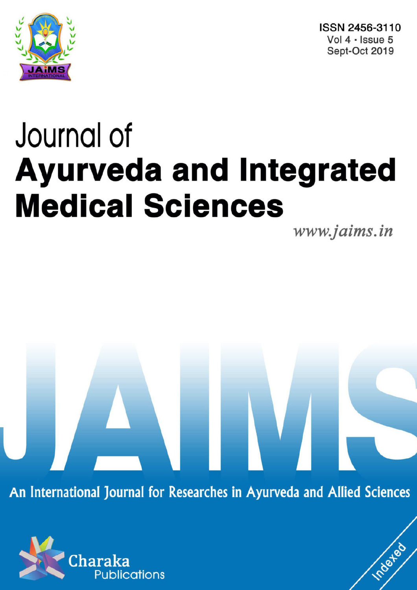

ISSN 2456-3110 Vol  $4 \cdot$  Issue 5 Sept-Oct 2019

# Journal of **Ayurveda and Integrated Medical Sciences**

www.jaims.in

Inderfed

An International Journal for Researches in Ayurveda and Allied Sciences

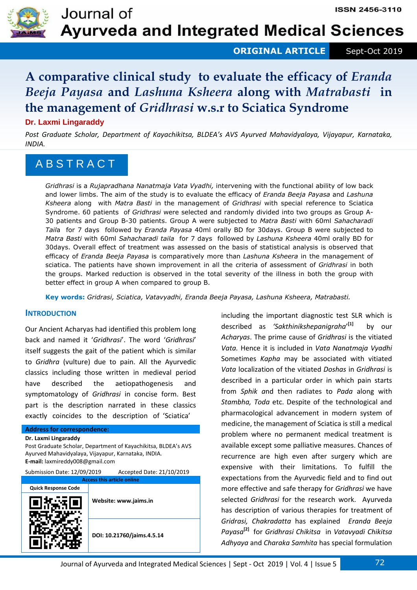

**ORIGINAL ARTICLE** Sept-Oct 2019

# **A comparative clinical study to evaluate the efficacy of** *Eranda Beeja Payasa* **and** *Lashuna Ksheera* **along with** *Matrabasti* **in the management of** *Gridhrasi* **w.s.r to Sciatica Syndrome**

# **Dr. Laxmi Lingaraddy**

*Post Graduate Scholar, Department of Kayachikitsa, BLDEA's AVS Ayurved Mahavidyalaya, Vijayapur, Karnataka, INDIA.* 

# A B S T R A C T

*Gridhrasi* is a *Rujapradhana Nanatmaja Vata Vyadhi,* intervening with the functional ability of low back and lower limbs. The aim of the study is to evaluate the efficacy of *Eranda Beeja Payasa* and *Lashuna Ksheera* along with *Matra Basti* in the management of *Gridhrasi* with special reference to Sciatica Syndrome. 60 patients of *Gridhrasi* were selected and randomly divided into two groups as Group A-30 patients and Group B-30 patients. Group A were subjected to *Matra Basti* with 60ml *Sahacharadi Tail*a for 7 days followed by *Eranda Payasa* 40ml orally BD for 30days. Group B were subjected to *Matra Basti* with 60ml *Sahacharadi taila* for 7 days followed by *Lashuna Ksheera* 40ml orally BD for 30days. Overall effect of treatment was assessed on the basis of statistical analysis is observed that efficacy of *Eranda Beeja Payasa* is comparatively more than *Lashuna Ksheera* in the management of sciatica. The patients have shown improvement in all the criteria of assessment of *Gridhrasi* in both the groups. Marked reduction is observed in the total severity of the illness in both the group with better effect in group A when compared to group B.

**Key words:** *Gridrasi, Sciatica, Vatavyadhi, Eranda Beeja Payasa, Lashuna Ksheera, Matrabasti.*

# **INTRODUCTION**

Our Ancient Acharyas had identified this problem long back and named it '*Gridhrasi*'. The word '*Gridhrasi*' itself suggests the gait of the patient which is similar to *Gridhra* (vulture) due to pain. All the Ayurvedic classics including those written in medieval period have described the aetiopathogenesis and symptomatology of *Gridhrasi* in concise form. Best part is the description narrated in these classics exactly coincides to the description of 'Sciatica'

| <b>Address for correspondence:</b> |  |
|------------------------------------|--|
| Dr. Laxmi Lingaraddy               |  |

Post Graduate Scholar, Department of Kayachikitsa, BLDEA's AVS Ayurved Mahavidyalaya, Vijayapur, Karnataka, INDIA. **E-mail:** laxmireddy008@gmail.com

| Submission Date: 12/09/2019 | Accepted Date: 21/10/2019 |
|-----------------------------|---------------------------|
|-----------------------------|---------------------------|

| <b>Access this article online</b> |                            |  |  |  |  |  |  |
|-----------------------------------|----------------------------|--|--|--|--|--|--|
| <b>Quick Response Code</b>        |                            |  |  |  |  |  |  |
|                                   | Website: www.jaims.in      |  |  |  |  |  |  |
|                                   | DOI: 10.21760/jaims.4.5.14 |  |  |  |  |  |  |

including the important diagnostic test SLR which is described as *'Sakthinikshepanigraha*' **[1]** by our *Acharyas*. The prime cause of *Gridhrasi* is the vitiated *Vata.* Hence it is included in *Vata Nanatmaja Vyadhi* Sometimes *Kapha* may be associated with vitiated *Vata* localization of the vitiated *Doshas* in *Gridhrasi* is described in a particular order in which pain starts from *Sphik a*nd then radiates to *Pada* along with *Stambha, Toda* etc. Despite of the technological and pharmacological advancement in modern system of medicine, the management of Sciatica is still a medical problem where no permanent medical treatment is available except some palliative measures. Chances of recurrence are high even after surgery which are expensive with their limitations. To fulfill the expectations from the Ayurvedic field and to find out more effective and safe therapy for *Gridhrasi* we have selected *Gridhrasi* for the research work. Ayurveda has description of various therapies for treatment of *Gridrasi, Chakradatta* has explained *Eranda Beeja Payasa***[2]** for *Gridhrasi Chikitsa* in *Vatavyadi Chikitsa Adhyaya* and *Charaka Samhita* has special formulation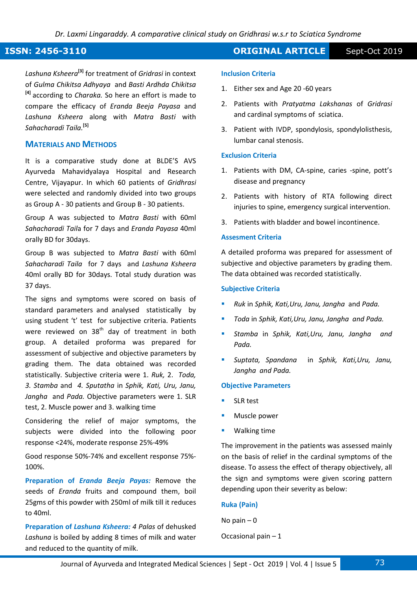*Lashuna Ksheera***[3]** for treatment of *Gridrasi* in context of *Gulma Chikitsa Adhyaya* and *Basti Ardhda Chikitsa* **[4]** according to *Charaka.* So here an effort is made to compare the efficacy of *Eranda Beeja Payasa* and *Lashuna Ksheera* along with *Matra Basti* with *Sahacharadi Taila.***[5]**

# **MATERIALS AND METHODS**

It is a comparative study done at BLDE'S AVS Ayurveda Mahavidyalaya Hospital and Research Centre, Vijayapur. In which 60 patients of *Gridhrasi*  were selected and randomly divided into two groups as Group A - 30 patients and Group B - 30 patients.

Group A was subjected to *Matra Basti* with 60ml *Sahacharadi Tail*a for 7 days and *Eranda Payasa* 40ml orally BD for 30days.

Group B was subjected to *Matra Basti* with 60ml *Sahacharadi Taila* for 7 days and *Lashuna Ksheera*  40ml orally BD for 30days. Total study duration was 37 days.

The signs and symptoms were scored on basis of standard parameters and analysed statistically by using student 't' test for subjective criteria. Patients were reviewed on  $38<sup>th</sup>$  day of treatment in both group. A detailed proforma was prepared for assessment of subjective and objective parameters by grading them. The data obtained was recorded statistically. Subjective criteria were 1. *Ruk,* 2. *Toda, 3. Stamba* and *4. Sputatha* in *Sphik, Kati, Uru, Janu, Jangha* and *Pada.* Objective parameters were 1. SLR test, 2. Muscle power and 3. walking time

Considering the relief of major symptoms, the subjects were divided into the following poor response <24%, moderate response 25%-49%

Good response 50%-74% and excellent response 75%- 100%.

**Preparation of** *Eranda Beeja Payas:* Remove the seeds of *Eranda* fruits and compound them, boil 25gms of this powder with 250ml of milk till it reduces to 40ml.

**Preparation of** *Lashuna Ksheera: 4 Palas* of dehusked *Lashuna* is boiled by adding 8 times of milk and water and reduced to the quantity of milk.

# **ISSN: 2456-3110 CONSERVERTIGE Sept-Oct 2019**

## **Inclusion Criteria**

- 1. Either sex and Age 20 -60 years
- 2. Patients with *Pratyatma Lakshanas* of *Gridrasi* and cardinal symptoms of sciatica.
- 3. Patient with IVDP, spondylosis, spondylolisthesis, lumbar canal stenosis.

### **Exclusion Criteria**

- 1. Patients with DM, CA-spine, caries -spine, pott's disease and pregnancy
- 2. Patients with history of RTA following direct injuries to spine, emergency surgical intervention.
- 3. Patients with bladder and bowel incontinence.

# **Assesment Criteria**

A detailed proforma was prepared for assessment of subjective and objective parameters by grading them. The data obtained was recorded statistically.

### **Subjective Criteria**

- *Ruk* in *Sphik, Kati,Uru, Janu, Jangha* and *Pada.*
- *Toda* in *Sphik, Kati,Uru, Janu, Jangha and Pada.*
- *Stamba* in *Sphik, Kati,Uru, Janu, Jangha and Pada.*
- *Suptata, Spandana* in *Sphik, Kati,Uru, Janu, Jangha and Pada.*

# **Objective Parameters**

- SLR test
- Muscle power
- Walking time

The improvement in the patients was assessed mainly on the basis of relief in the cardinal symptoms of the disease. To assess the effect of therapy objectively, all the sign and symptoms were given scoring pattern depending upon their severity as below:

### **Ruka (Pain)**

No pain  $-0$ 

# Occasional pain – 1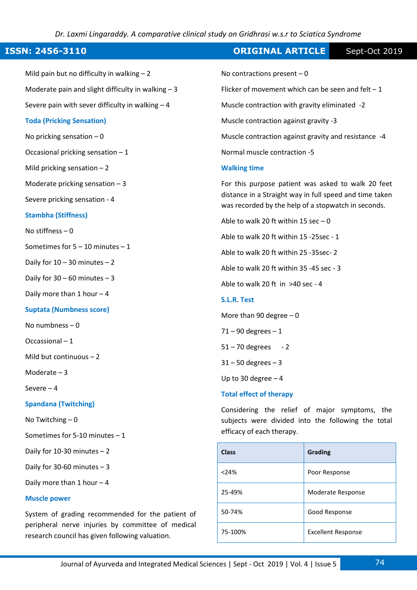*Dr. Laxmi Lingaraddy. A comparative clinical study on Gridhrasi w.s.r to Sciatica Syndrome*

# **ISSN: 2456-3110 CONSERVERTIGE Sept-Oct 2019**

Mild pain but no difficulty in walking  $-2$ Moderate pain and slight difficulty in walking  $-3$ Severe pain with sever difficulty in walking  $-4$ **Toda (Pricking Sensation)**  No pricking sensation  $-0$ Occasional pricking sensation  $-1$ Mild pricking sensation  $-2$ Moderate pricking sensation  $-3$ Severe pricking sensation - 4 **Stambha (Stiffness)**  No stiffness – 0 Sometimes for 5 – 10 minutes – 1 Daily for  $10 - 30$  minutes  $-2$ Daily for  $30 - 60$  minutes  $-3$ Daily more than 1 hour – 4 **Suptata (Numbness score)**  No numbness – 0 Occassional – 1 Mild but continuous – 2 Moderate – 3 Severe – 4 **Spandana (Twitching)**  No Twitching – 0 Sometimes for 5-10 minutes – 1 Daily for 10-30 minutes – 2 Daily for 30-60 minutes  $-3$ No contractions present  $-0$ 

Daily more than 1 hour – 4

# **Muscle power**

System of grading recommended for the patient of peripheral nerve injuries by committee of medical research council has given following valuation.

Flicker of movement which can be seen and felt  $-1$ Muscle contraction with gravity eliminated -2 Muscle contraction against gravity -3 Muscle contraction against gravity and resistance -4 Normal muscle contraction -5 **Walking time**  For this purpose patient was asked to walk 20 feet distance in a Straight way in full speed and time taken was recorded by the help of a stopwatch in seconds. Able to walk 20 ft within 15 sec  $-0$ Able to walk 20 ft within 15 -25sec - 1 Able to walk 20 ft within 25 -35sec- 2 Able to walk 20 ft within 35 -45 sec - 3 Able to walk 20 ft in >40 sec - 4

# **S.L.R. Test**

More than 90 degree  $-0$ 

 $71 - 90$  degrees  $-1$ 

 $51 - 70$  degrees  $-2$ 

 $31 - 50$  degrees  $-3$ 

Up to 30 degree – 4

## **Total effect of therapy**

Considering the relief of major symptoms, the subjects were divided into the following the total efficacy of each therapy.

| <b>Class</b> | <b>Grading</b>            |
|--------------|---------------------------|
| < 24%        | Poor Response             |
| 25-49%       | Moderate Response         |
| 50-74%       | Good Response             |
| 75-100%      | <b>Excellent Response</b> |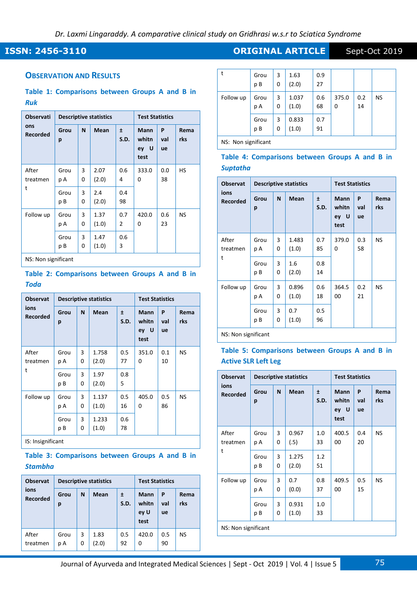# **ISSN: 2456-3110 CONSERVERTIGE Sept-Oct 2019**

# **OBSERVATION AND RESULTS**

# **Table 1: Comparisons between Groups A and B in**  *Ruk*

| <b>Observati</b><br>ons<br><b>Recorded</b> |            |        | <b>Descriptive statistics</b> |           | <b>Test Statistics</b>                    |                |             |  |
|--------------------------------------------|------------|--------|-------------------------------|-----------|-------------------------------------------|----------------|-------------|--|
|                                            | Grou<br>p  | N      | <b>Mean</b>                   | Ŧ<br>S.D. | <b>Mann</b><br>whitn<br>- U<br>ey<br>test | P<br>val<br>ue | Rema<br>rks |  |
| After<br>treatmen<br>t                     | Grou<br>рA | 3<br>0 | 2.07<br>(2.0)                 | 0.6<br>4  | 333.0<br>0                                | 0.0<br>38      | НS          |  |
|                                            | Grou<br>рB | 3<br>0 | 2.4<br>(2.0)                  | 0.4<br>98 |                                           |                |             |  |
| Follow up                                  | Grou<br>рA | 3<br>0 | 1.37<br>(1.0)                 | 0.7<br>2  | 420.0<br>0                                | 0.6<br>23      | <b>NS</b>   |  |
|                                            | Grou<br>рB | 3<br>0 | 1.47<br>(1.0)                 | 0.6<br>3  |                                           |                |             |  |
| NC. Non cianificant                        |            |        |                               |           |                                           |                |             |  |

NS: Non significant

# **Table 2: Comparisons between Groups A and B in**  *Toda*

| <b>Observat</b>         | <b>Descriptive statistics</b> |        |                |           | <b>Test Statistics</b>               |                |             |  |
|-------------------------|-------------------------------|--------|----------------|-----------|--------------------------------------|----------------|-------------|--|
| ions<br><b>Recorded</b> | Grou<br>p                     | N      | Mean           | Ŧ<br>S.D. | <b>Mann</b><br>whitn<br>ey U<br>test | P<br>val<br>ue | Rema<br>rks |  |
| After<br>treatmen       | Grou<br>p A                   | 3<br>0 | 1.758<br>(2.0) | 0.5<br>77 | 351.0<br>0                           | 0.1<br>10      | <b>NS</b>   |  |
| t                       | Grou<br>рB                    | 3<br>0 | 1.97<br>(2.0)  | 0.8<br>5  |                                      |                |             |  |
| Follow up               | Grou<br>рA                    | 3<br>0 | 1.137<br>(1.0) | 0.5<br>16 | 405.0<br>0                           | 0.5<br>86      | <b>NS</b>   |  |
|                         | Grou<br>рB                    | 3<br>0 | 1.233<br>(1.0) | 0.6<br>78 |                                      |                |             |  |

IS: Insignificant

# **Table 3: Comparisons between Groups A and B in**  *Stambha*

| <b>Observat</b><br>ions<br><b>Recorded</b> | <b>Descriptive statistics</b> |        |               |           | <b>Test Statistics</b>               |                |             |
|--------------------------------------------|-------------------------------|--------|---------------|-----------|--------------------------------------|----------------|-------------|
|                                            | Grou<br>р                     | N      | Mean          | 土<br>S.D. | <b>Mann</b><br>whitn<br>ey U<br>test | P<br>val<br>ue | Rema<br>rks |
| After<br>treatmen                          | Grou<br>рA                    | 3<br>0 | 1.83<br>(2.0) | 0.5<br>92 | 420.0<br>0                           | 0.5<br>90      | <b>NS</b>   |

| t                   | Grou<br>рB | 3<br>0 | 1.63<br>(2.0)  | 0.9<br>27 |            |           |    |  |
|---------------------|------------|--------|----------------|-----------|------------|-----------|----|--|
| Follow up           | Grou<br>рA | 3<br>0 | 1.037<br>(1.0) | 0.6<br>68 | 375.0<br>0 | 0.2<br>14 | NS |  |
|                     | Grou<br>рB | 3<br>0 | 0.833<br>(1.0) | 0.7<br>91 |            |           |    |  |
| NS: Non significant |            |        |                |           |            |           |    |  |

**Table 4: Comparisons between Groups A and B in** 

*Suptatha*

| <b>Observat</b>         |               |        | <b>Descriptive statistics</b> |           | <b>Test Statistics</b>               |                |             |  |
|-------------------------|---------------|--------|-------------------------------|-----------|--------------------------------------|----------------|-------------|--|
| ions<br><b>Recorded</b> | Grou<br>р     | N      | <b>Mean</b>                   | Ŧ<br>S.D. | <b>Mann</b><br>whitn<br>ey U<br>test | P<br>val<br>ue | Rema<br>rks |  |
| After<br>treatmen<br>t  | Grou<br>рA    | 3<br>0 | 1.483<br>(1.0)                | 0.7<br>85 | 379.0<br>0                           | 0.3<br>58      | NS          |  |
|                         | Grou<br>рB    | 3<br>0 | 1.6<br>(2.0)                  | 0.8<br>14 |                                      |                |             |  |
| Follow up               | Grou<br>рA    | 3<br>0 | 0.896<br>(1.0)                | 0.6<br>18 | 364.5<br>00                          | 0.2<br>21      | NS          |  |
|                         | Grou<br>рB    | 3<br>0 | 0.7<br>(1.0)                  | 0.5<br>96 |                                      |                |             |  |
|                         | $\sim$ $\sim$ |        |                               |           |                                      |                |             |  |

NS: Non significant

# **Table 5: Comparisons between Groups A and B in Active SLR Left Leg**

| <b>Descriptive statistics</b> |                      |                |           | <b>Test Statistics</b>               |                |             |
|-------------------------------|----------------------|----------------|-----------|--------------------------------------|----------------|-------------|
| Grou<br>p                     | N                    | <b>Mean</b>    | Ŧ<br>S.D. | <b>Mann</b><br>whitn<br>ey U<br>test | P<br>val<br>ue | Rema<br>rks |
| Grou<br>рA                    | 3<br>0               | 0.967<br>(.5)  | 1.0<br>33 | 400.5<br>00                          | 0.4<br>20      | <b>NS</b>   |
| Grou<br>p B                   | 3<br>0               | 1.275<br>(2.0) | 1.2<br>51 |                                      |                |             |
| Grou<br>рA                    | 3<br>0               | 0.7<br>(0.0)   | 0.8<br>37 | 409.5<br>00                          | 0.5<br>15      | <b>NS</b>   |
| Grou<br>рB                    | 3<br>0               | 0.931<br>(1.0) | 1.0<br>33 |                                      |                |             |
|                               | MC: Monicanification |                |           |                                      |                |             |

NS: Non significant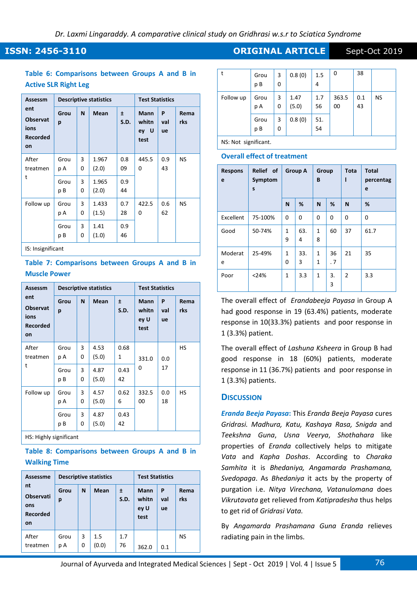# **ISSN: 2456-3110 CONSERVERTIGE Sept-Oct 2019**

# **Table 6: Comparisons between Groups A and B in Active SLR Right Leg**

| Assessm                                                 |            |        | <b>Descriptive statistics</b> | <b>Test Statistics</b> |                                      |                |             |  |
|---------------------------------------------------------|------------|--------|-------------------------------|------------------------|--------------------------------------|----------------|-------------|--|
| ent<br><b>Observat</b><br>ions<br><b>Recorded</b><br>on | Grou<br>p  | N      | Mean                          | Ŧ<br>S.D.              | <b>Mann</b><br>whitn<br>ey U<br>test | P<br>val<br>ue | Rema<br>rks |  |
| After<br>treatmen<br>t                                  | Grou<br>рA | 3<br>0 | 1.967<br>(2.0)                | 0.8<br>09              | 445.5<br>0                           | 0.9<br>43      | NS          |  |
|                                                         | Grou<br>рB | 3<br>0 | 1.965<br>(2.0)                | 0.9<br>44              |                                      |                |             |  |
| Follow up                                               | Grou<br>рA | 3<br>0 | 1.433<br>(1.5)                | 0.7<br>28              | 422.5<br>0                           | 0.6<br>62      | <b>NS</b>   |  |
|                                                         | Grou<br>рB | 3<br>0 | 1.41<br>(1.0)                 | 0.9<br>46              |                                      |                |             |  |
| IS: Insignificant                                       |            |        |                               |                        |                                      |                |             |  |

# **Table 7: Comparisons between Groups A and B in Muscle Power**

| Assessm<br>ent<br><b>Observat</b><br>ions<br><b>Recorded</b><br>on |            |        | <b>Descriptive statistics</b> |            | <b>Test Statistics</b>               |                |             |
|--------------------------------------------------------------------|------------|--------|-------------------------------|------------|--------------------------------------|----------------|-------------|
|                                                                    | Grou<br>p  | N      | <b>Mean</b>                   | Ŧ<br>S.D.  | <b>Mann</b><br>whitn<br>ey U<br>test | P<br>val<br>ue | Rema<br>rks |
| After<br>treatmen<br>t                                             | Grou<br>рA | 3<br>0 | 4.53<br>(5.0)                 | 0.68<br>1  | 331.0                                | 0.0            | HS          |
|                                                                    | Grou<br>рB | 3<br>0 | 4.87<br>(5.0)                 | 0.43<br>42 | 0                                    | 17             |             |
| Follow up                                                          | Grou<br>рA | 3<br>0 | 4.57<br>(5.0)                 | 0.62<br>6  | 332.5<br>00                          | 0.0<br>18      | HS          |
|                                                                    | Grou<br>рB | 3<br>0 | 4.87<br>(5.0)                 | 0.43<br>42 |                                      |                |             |
|                                                                    |            |        |                               |            |                                      |                |             |

HS: Highly significant

# **Table 8: Comparisons between Groups A and B in Walking Time**

| <b>Assessme</b><br>nt<br><b>Observati</b><br>ons<br><b>Recorded</b><br>on | <b>Descriptive statistics</b> |        |              |           | <b>Test Statistics</b>               |                |             |
|---------------------------------------------------------------------------|-------------------------------|--------|--------------|-----------|--------------------------------------|----------------|-------------|
|                                                                           | Grou<br>р                     | N      | <b>Mean</b>  | Ŧ<br>S.D. | <b>Mann</b><br>whitn<br>ey U<br>test | P<br>val<br>ue | Rema<br>rks |
| After<br>treatmen                                                         | Grou<br>рA                    | 3<br>0 | 1.5<br>(0.0) | 1.7<br>76 | 362.0                                | 0.1            | NS          |

| t         | Grou<br>p B | 3<br>0 | 0.8(0)        | 1.5<br>4  | 0           | 38        |           |
|-----------|-------------|--------|---------------|-----------|-------------|-----------|-----------|
| Follow up | Grou<br>p A | 3<br>0 | 1.47<br>(5.0) | 1.7<br>56 | 363.5<br>00 | 0.1<br>43 | <b>NS</b> |
|           | Grou<br>p B | 3<br>0 | 0.8(0)        | 51.<br>54 |             |           |           |

NS: Not significant.

# **Overall effect of treatment**

| <b>Respons</b><br>e | Relief of<br>Symptom<br>S | <b>Group A</b>    |          | Group<br>B        |          | Tota<br>ı      | <b>Total</b><br>percentag<br>e |
|---------------------|---------------------------|-------------------|----------|-------------------|----------|----------------|--------------------------------|
|                     |                           | N                 | %        | N                 | %        | N              | %                              |
| Excellent           | 75-100%                   | 0                 | $\Omega$ | 0                 | $\Omega$ | $\Omega$       | $\mathbf 0$                    |
| Good                | 50-74%                    | 1<br>9            | 63.<br>4 | $\mathbf{1}$<br>8 | 60       | 37             | 61.7                           |
| Moderat<br>e        | 25-49%                    | $\mathbf{1}$<br>0 | 33.<br>3 | 1<br>1            | 36<br>.7 | 21             | 35                             |
| Poor                | < 24%                     | $\mathbf{1}$      | 3.3      | 1                 | 3.<br>3  | $\overline{2}$ | 3.3                            |

The overall effect of *Erandabeeja Payasa* in Group A had good response in 19 (63.4%) patients, moderate response in 10(33.3%) patients and poor response in 1 (3.3%) patient.

The overall effect of *Lashuna Ksheera* in Group B had good response in 18 (60%) patients, moderate response in 11 (36.7%) patients and poor response in 1 (3.3%) patients.

# **DISCUSSION**

*Eranda Beeja Payasa***:** This *Eranda Beeja Payasa* cures *Gridrasi. Madhura, Katu, Kashaya Rasa, Snigda* and *Teekshna Guna*, *Usna Veerya*, *Shothahara* like properties of *Eranda* collectively helps to mitigate *Vata* and *Kapha Doshas*. According to *Charaka Samhita* it is *Bhedaniya, Angamarda Prashamana, Svedopaga*. As *Bhedaniya* it acts by the property of purgation i.e. *Nitya Virechana, Vatanulomana* does *Vikrutavata* get relieved from *Katipradesha* thus helps to get rid of *Gridrasi Vata.*

By *Angamarda Prashamana Guna Eranda* relieves radiating pain in the limbs.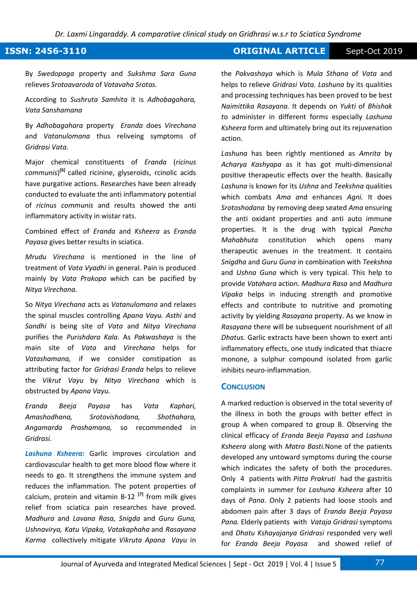*Dr. Laxmi Lingaraddy. A comparative clinical study on Gridhrasi w.s.r to Sciatica Syndrome*

# **ISSN: 2456-3110 CRIGINAL ARTICLE** Sept-Oct 2019

By *Swedopaga* property and *Sukshma Sara Guna*  relieves *Srotoavaroda* of *Vatavaha Srotas.* 

According to *Sushruta Samhita* it is *Adhobagahara, Vata Sanshamana*

By *Adhobagahara* property *Eranda* does *Virechana*  and *Vatanulomana* thus reliveing symptoms of *Gridrasi Vata.* 

Major chemical constituents of *Eranda* (*ricinus communis*) **[6]** called ricinine, glyseroids, rcinolic acids have purgative actions. Researches have been already conducted to evaluate the anti inflammatory potential of *ricinus communis* and results showed the anti inflammatory activity in wistar rats.

Combined effect of *Eranda* and *Ksheera* as *Eranda Payasa* gives better results in sciatica.

*Mrudu Virechana* is mentioned in the line of treatment of *Vata Vyadhi* in general. Pain is produced mainly by *Vata Prakopa* which can be pacified by *Nitya Virechana.*

So *Nitya Virechana* acts as *Vatanulomana* and relaxes the spinal muscles controlling *Apana Vayu. Asthi* and *Sandhi* is being site of *Vata* and *Nitya Virechana* purifies the *Purishdara Kala*. As *Pakwashaya* is the main site of *Vata* and *Virechana* helps for *Vatashamana,* if we consider constipation as attributing factor for *Gridrasi Eranda* helps to relieve the *Vikrut Vayu* by *Nitya Virechana* which is obstructed by *Apana Vayu.*

*Eranda Beeja Payasa* has *Vata Kaphari, Amashodhana, Srotovishodana, Shothahara, Angamarda Prashamana,* so recommended in *Gridrasi.*

*Lashuna Ksheera:* Garlic improves circulation and cardiovascular health to get more blood flow where it needs to go. It strengthens the immune system and reduces the inflammation. The potent properties of calcium, protein and vitamin B-12 **[7]** from milk gives relief from sciatica pain researches have proved. *Madhura* and *Lavana Rasa, Snigda* and *Guru Guna, Ushnavirya, Katu Vipaka, Vatakaphaha* and *Rasayana Karma* collectively mitigate *Vikruta Apana Vayu* in the *Pakvashaya* which is *Mula Sthana* of *Vata* and helps to relieve *Gridrasi Vata. Lashuna* by its qualities and processing techniques has been proved to be best *Naimittika Rasayana.* It depends on *Yukti* of *Bhishak t*o administer in different forms especially *Lashuna Ksheera* form and ultimately bring out its rejuvenation action.

*Lashuna* has been rightly mentioned as *Amrita* by *Acharya Kashyapa* as it has got multi-dimensional positive therapeutic effects over the health. Basically *Lashuna* is known for its *Ushna* and *Teekshna* qualities which combats *Ama a*nd enhances *Agni.* It does *Srotoshodana* by removing deep seated *Ama* ensuring the anti oxidant properties and anti auto immune properties. It is the drug with typical *Pancha Mahabhuta* constitution which opens many therapeutic avenues in the treatment. It contains *Snigdha* and *Guru Guna* in combination with *Teekshna*  and *Ushna Guna* which is very typical. This help to provide *Vatahara* action. *Madhura Rasa* and *Madhura Vipaka* helps in inducing strength and promotive effects and contribute to nutritive and promoting activity by yielding *Rasayana* property. As we know in *Rasayana* there will be subsequent nourishment of all *Dhatus.* Garlic extracts have been shown to exert anti inflammatory effects, one study indicated that thiacre monone, a sulphur compound isolated from garlic inhibits neuro-inflammation.

# **CONCLUSION**

A marked reduction is observed in the total severity of the illness in both the groups with better effect in group A when compared to group B. Observing the clinical efficacy of *Eranda Beeja Payasa* and *Lashuna Ksheera* along with *Matra Basti.*None of the patients developed any untoward symptoms during the course which indicates the safety of both the procedures. Only 4 patients with *Pitta Prakruti* had the gastritis complaints in summer for *Lashuna Ksheera* after 10 days of *Pana*. Only 2 patients had loose stools and abdomen pain after 3 days of *Eranda Beeja Payasa Pana.* Elderly patients with *Vataja Gridrasi* symptoms and *Dhatu Kshayajanya Gridrasi* responded very well for *Eranda Beeja Payasa* and showed relief of